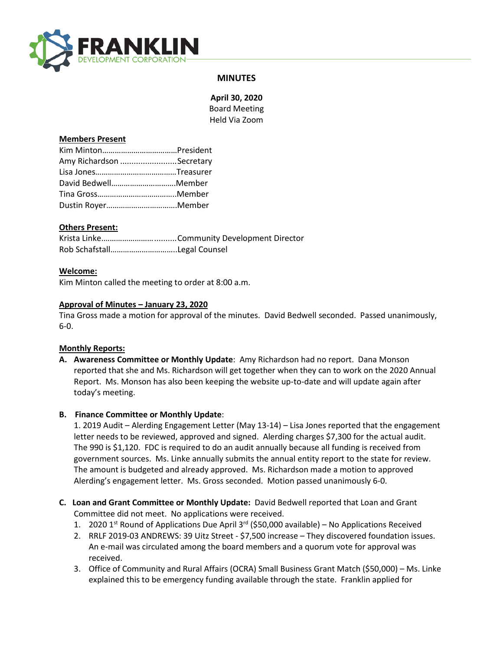

# **MINUTES**

**April 30, 2020** Board Meeting Held Via Zoom

### **Members Present**

| Amy Richardson Secretary |  |
|--------------------------|--|
|                          |  |
| David BedwellMember      |  |
|                          |  |
| Dustin RoyerMember       |  |

## **Others Present:**

### **Welcome:**

Kim Minton called the meeting to order at 8:00 a.m.

### **Approval of Minutes – January 23, 2020**

Tina Gross made a motion for approval of the minutes. David Bedwell seconded. Passed unanimously, 6-0.

#### **Monthly Reports:**

**A. Awareness Committee or Monthly Update**: Amy Richardson had no report. Dana Monson reported that she and Ms. Richardson will get together when they can to work on the 2020 Annual Report. Ms. Monson has also been keeping the website up-to-date and will update again after today's meeting.

#### **B. Finance Committee or Monthly Update**:

1. 2019 Audit – Alerding Engagement Letter (May 13-14) – Lisa Jones reported that the engagement letter needs to be reviewed, approved and signed. Alerding charges \$7,300 for the actual audit. The 990 is \$1,120. FDC is required to do an audit annually because all funding is received from government sources. Ms. Linke annually submits the annual entity report to the state for review. The amount is budgeted and already approved. Ms. Richardson made a motion to approved Alerding's engagement letter. Ms. Gross seconded. Motion passed unanimously 6-0.

- **C. Loan and Grant Committee or Monthly Update:** David Bedwell reported that Loan and Grant Committee did not meet. No applications were received.
	- 1. 2020 1<sup>st</sup> Round of Applications Due April 3<sup>rd</sup> (\$50,000 available) No Applications Received
	- 2. RRLF 2019-03 ANDREWS: 39 Uitz Street \$7,500 increase They discovered foundation issues. An e-mail was circulated among the board members and a quorum vote for approval was received.
	- 3. Office of Community and Rural Affairs (OCRA) Small Business Grant Match (\$50,000) Ms. Linke explained this to be emergency funding available through the state. Franklin applied for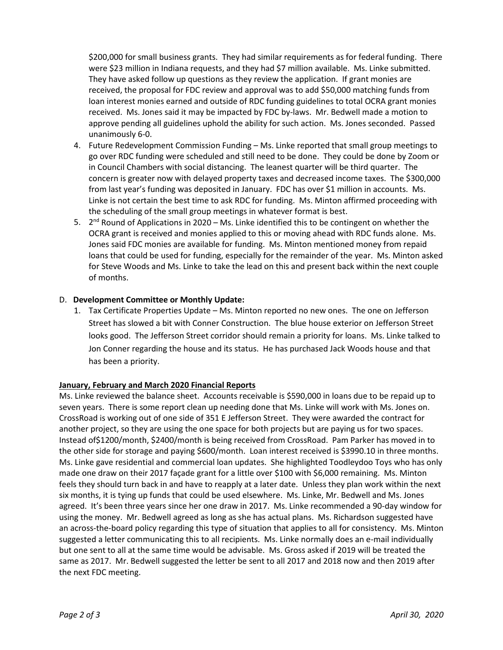\$200,000 for small business grants. They had similar requirements as for federal funding. There were \$23 million in Indiana requests, and they had \$7 million available. Ms. Linke submitted. They have asked follow up questions as they review the application. If grant monies are received, the proposal for FDC review and approval was to add \$50,000 matching funds from loan interest monies earned and outside of RDC funding guidelines to total OCRA grant monies received. Ms. Jones said it may be impacted by FDC by-laws. Mr. Bedwell made a motion to approve pending all guidelines uphold the ability for such action. Ms. Jones seconded. Passed unanimously 6-0.

- 4. Future Redevelopment Commission Funding Ms. Linke reported that small group meetings to go over RDC funding were scheduled and still need to be done. They could be done by Zoom or in Council Chambers with social distancing. The leanest quarter will be third quarter. The concern is greater now with delayed property taxes and decreased income taxes. The \$300,000 from last year's funding was deposited in January. FDC has over \$1 million in accounts. Ms. Linke is not certain the best time to ask RDC for funding. Ms. Minton affirmed proceeding with the scheduling of the small group meetings in whatever format is best.
- 5.  $2^{nd}$  Round of Applications in 2020 Ms. Linke identified this to be contingent on whether the OCRA grant is received and monies applied to this or moving ahead with RDC funds alone. Ms. Jones said FDC monies are available for funding. Ms. Minton mentioned money from repaid loans that could be used for funding, especially for the remainder of the year. Ms. Minton asked for Steve Woods and Ms. Linke to take the lead on this and present back within the next couple of months.

## D. **Development Committee or Monthly Update:**

1. Tax Certificate Properties Update – Ms. Minton reported no new ones. The one on Jefferson Street has slowed a bit with Conner Construction. The blue house exterior on Jefferson Street looks good. The Jefferson Street corridor should remain a priority for loans. Ms. Linke talked to Jon Conner regarding the house and its status. He has purchased Jack Woods house and that has been a priority.

#### **January, February and March 2020 Financial Reports**

Ms. Linke reviewed the balance sheet. Accounts receivable is \$590,000 in loans due to be repaid up to seven years. There is some report clean up needing done that Ms. Linke will work with Ms. Jones on. CrossRoad is working out of one side of 351 E Jefferson Street. They were awarded the contract for another project, so they are using the one space for both projects but are paying us for two spaces. Instead of\$1200/month, \$2400/month is being received from CrossRoad. Pam Parker has moved in to the other side for storage and paying \$600/month. Loan interest received is \$3990.10 in three months. Ms. Linke gave residential and commercial loan updates. She highlighted Toodleydoo Toys who has only made one draw on their 2017 façade grant for a little over \$100 with \$6,000 remaining. Ms. Minton feels they should turn back in and have to reapply at a later date. Unless they plan work within the next six months, it is tying up funds that could be used elsewhere. Ms. Linke, Mr. Bedwell and Ms. Jones agreed. It's been three years since her one draw in 2017. Ms. Linke recommended a 90-day window for using the money. Mr. Bedwell agreed as long as she has actual plans. Ms. Richardson suggested have an across-the-board policy regarding this type of situation that applies to all for consistency. Ms. Minton suggested a letter communicating this to all recipients. Ms. Linke normally does an e-mail individually but one sent to all at the same time would be advisable. Ms. Gross asked if 2019 will be treated the same as 2017. Mr. Bedwell suggested the letter be sent to all 2017 and 2018 now and then 2019 after the next FDC meeting.